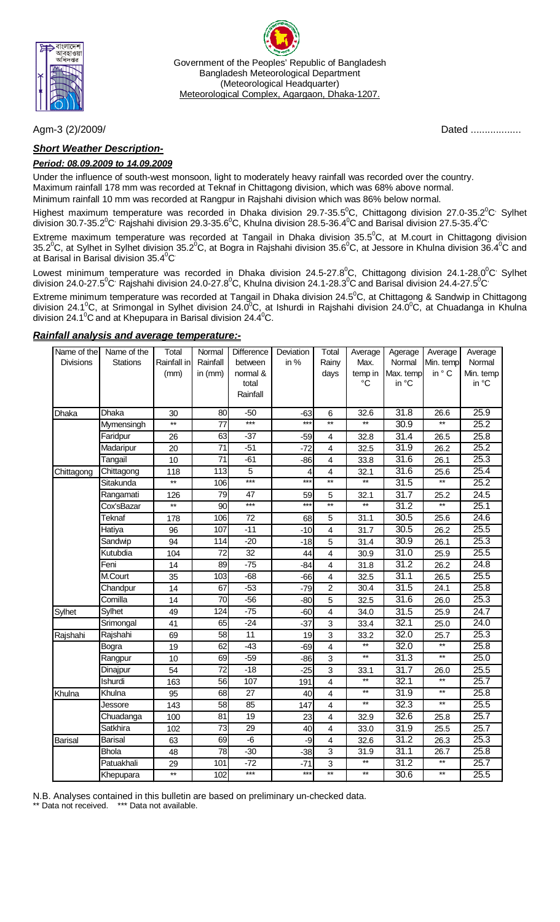

Government of the Peoples' Republic of Bangladesh Bangladesh Meteorological Department (Meteorological Headquarter) Meteorological Complex, Agargaon, Dhaka-1207.

### *Short Weather Description-*

### *Period: 08.09.2009 to 14.09.2009*

Under the influence of south-west monsoon, light to moderately heavy rainfall was recorded over the country. Maximum rainfall 178 mm was recorded at Teknaf in Chittagong division, which was 68% above normal.

Minimum rainfall 10 mm was recorded at Rangpur in Rajshahi division which was 86% below normal.

Highest maximum temperature was recorded in Dhaka division 29.7-35.5<sup>0</sup>C, Chittagong division 27.0-35.2<sup>0</sup>C<sup>,</sup> Sylhet division 30.7-35.2 $^0$ C<sup>,</sup> Rajshahi division 29.3-35.6 $^0$ C, Khulna division 28.5-36.4 $^0$ C and Barisal division 27.5-35.4 $^0$ C $^{\cdot}$ 

Extreme maximum temperature was recorded at Tangail in Dhaka division 35.5<sup>o</sup>C, at M.court in Chittagong division 35.2 $^0$ C, at Sylhet in Sylhet division 35.2 $^0$ C, at Bogra in Rajshahi division 35.6 $^0$ C, at Jessore in Khulna division 36.4 $^0$ C and at Barisal in Barisal division 35.4<sup>°</sup>C

Lowest minimum temperature was recorded in Dhaka division 24.5-27.8<sup>0</sup>C, Chittagong division 24.1-28.0<sup>0</sup>C<sup>,</sup> Sylhet division 24.0-27.5 $^0$ C $^{\circ}$  Rajshahi division 24.0-27.8 $^0$ C, Khulna division 24.1-28.3 $^0$ C and Barisal division 24.4-27.5 $^0$ C $^{\circ}$ 

Extreme minimum temperature was recorded at Tangail in Dhaka division 24.5<sup>o</sup>C, at Chittagong & Sandwip in Chittagong division 24.1<sup>o</sup>C, at Srimongal in Sylhet division 24.0<sup>o</sup>C, at Ishurdi in Rajshahi division 24.0<sup>o</sup>C, at Chuadanga in Khulna division 24.1 $\mathrm{^0C}$  and at Khepupara in Barisal division 24.4 $\mathrm{^0C}$ .

### *Rainfall analysis and average temperature:-*

| Name of the      | Name of the     | Total           | Normal          | Difference      | Deviation | Total                   | Average         | Agerage           | Average         | Average   |
|------------------|-----------------|-----------------|-----------------|-----------------|-----------|-------------------------|-----------------|-------------------|-----------------|-----------|
| <b>Divisions</b> | <b>Stations</b> | Rainfall in     | Rainfall        | between         | in %      | Rainy                   | Max.            | Normal            | Min. temp       | Normal    |
|                  |                 | (mm)            | in $(mm)$       | normal &        |           | days                    | temp in         | Max. temp         | in $^{\circ}$ C | Min. temp |
|                  |                 |                 |                 | total           |           |                         | $\rm ^{\circ}C$ | in °C             |                 | in °C     |
|                  |                 |                 |                 | Rainfall        |           |                         |                 |                   |                 |           |
| Dhaka            | Dhaka           | 30              | 80              | $-50$           | $-63$     | 6                       | 32.6            | 31.8              | 26.6            | 25.9      |
|                  | Mymensingh      | $\star\star$    | 77              | $***$           | $***$     | $\star\star$            | $^{\star\star}$ | 30.9              | $^{\star\star}$ | 25.2      |
|                  | Faridpur        | 26              | 63              | $-37$           | $-59$     | 4                       | 32.8            | 31.4              | 26.5            | 25.8      |
|                  | Madaripur       | 20              | 71              | $-51$           | $-72$     | $\overline{\mathbf{4}}$ | 32.5            | 31.9              | 26.2            | 25.2      |
|                  | Tangail         | 10              | 71              | $-61$           | $-86$     | $\overline{\mathbf{4}}$ | 33.8            | 31.6              | 26.1            | 25.3      |
| Chittagong       | Chittagong      | 118             | 113             | 5               | 4         | 4                       | 32.1            | 31.6              | 25.6            | 25.4      |
|                  | Sitakunda       | $**$            | 106             | ***             | $***$     | $\star\star$            | $\star\star$    | 31.5              | $\overline{**}$ | 25.2      |
|                  | Rangamati       | 126             | 79              | $\overline{47}$ | 59        | 5                       | 32.1            | 31.7              | 25.2            | 24.5      |
|                  | Cox'sBazar      | $*$             | 90              | $***$           | $***$     | $\star\star$            | $\overline{**}$ | 31.2              | $\star\star$    | 25.1      |
|                  | <b>Teknaf</b>   | 178             | 106             | $\overline{72}$ | 68        | $\overline{5}$          | 31.1            | 30.5              | 25.6            | 24.6      |
|                  | Hatiya          | 96              | 107             | $-11$           | $-10$     | $\overline{\mathbf{4}}$ | 31.7            | $\overline{30.5}$ | 26.2            | 25.5      |
|                  | Sandwip         | 94              | 114             | $-20$           | $-18$     | 5                       | 31.4            | $\overline{30.9}$ | 26.1            | 25.3      |
|                  | Kutubdia        | 104             | 72              | 32              | 44        | 4                       | 30.9            | 31.0              | 25.9            | 25.5      |
|                  | Feni            | 14              | 89              | $-75$           | $-84$     | 4                       | 31.8            | 31.2              | 26.2            | 24.8      |
|                  | M.Court         | 35              | 103             | $-68$           | $-66$     | $\overline{4}$          | 32.5            | 31.1              | 26.5            | 25.5      |
|                  | Chandpur        | 14              | 67              | $-53$           | $-79$     | $\overline{2}$          | 30.4            | $\overline{31.5}$ | 24.1            | 25.8      |
|                  | Comilla         | 14              | $\overline{70}$ | $-56$           | $-80$     | 5                       | 32.5            | 31.6              | 26.0            | 25.3      |
| Sylhet           | Sylhet          | 49              | 124             | $-75$           | $-60$     | $\overline{4}$          | 34.0            | $\overline{31.5}$ | 25.9            | 24.7      |
|                  | Srimongal       | 41              | 65              | $-24$           | $-37$     | 3                       | 33.4            | 32.1              | 25.0            | 24.0      |
| Rajshahi         | Rajshahi        | 69              | 58              | $\overline{11}$ | 19        | 3                       | 33.2            | 32.0              | 25.7            | 25.3      |
|                  | Bogra           | 19              | 62              | $-43$           | $-69$     | $\overline{4}$          | $\overline{**}$ | 32.0              | $\star\star$    | 25.8      |
|                  | Rangpur         | 10              | 69              | $-59$           | $-86$     | 3                       | $\ast$          | 31.3              | $\star\star$    | 25.0      |
|                  | Dinajpur        | 54              | $\overline{72}$ | $-18$           | $-25$     | $\overline{3}$          | 33.1            | 31.7              | 26.0            | 25.5      |
|                  | Ishurdi         | 163             | 56              | 107             | 191       | 4                       | $\star\star$    | 32.1              | $\star\star$    | 25.7      |
| Khulna           | Khulna          | 95              | 68              | $\overline{27}$ | 40        | 4                       | $\star\star$    | $\overline{31.9}$ | $**$            | 25.8      |
|                  | Jessore         | 143             | 58              | 85              | 147       | 4                       | $\star\star$    | 32.3              | $^{\star\star}$ | 25.5      |
|                  | Chuadanga       | 100             | 81              | 19              | 23        | 4                       | 32.9            | 32.6              | 25.8            | 25.7      |
|                  | Satkhira        | 102             | $\overline{73}$ | $\overline{29}$ | 40        | 4                       | 33.0            | 31.9              | 25.5            | 25.7      |
| <b>Barisal</b>   | <b>Barisal</b>  | 63              | 69              | $-6$            | -9        | $\overline{\mathbf{4}}$ | 32.6            | 31.2              | 26.3            | 25.3      |
|                  | <b>Bhola</b>    | 48              | 78              | $-30$           | $-38$     | 3                       | 31.9            | 31.1              | 26.7            | 25.8      |
|                  | Patuakhali      | 29              | 101             | $-72$           | $-71$     | 3                       | $\ddot{x}$      | $\overline{31.2}$ | $^{\star\star}$ | 25.7      |
|                  | Khepupara       | $^{\star\star}$ | 102             | $***$           | $***$     | $\star\star$            | $\star\star$    | 30.6              | $^{\star\star}$ | 25.5      |

N.B. Analyses contained in this bulletin are based on preliminary un-checked data.

Data not received. \*\*\* Data not available.

Agm-3 (2)/2009/ Dated ..................